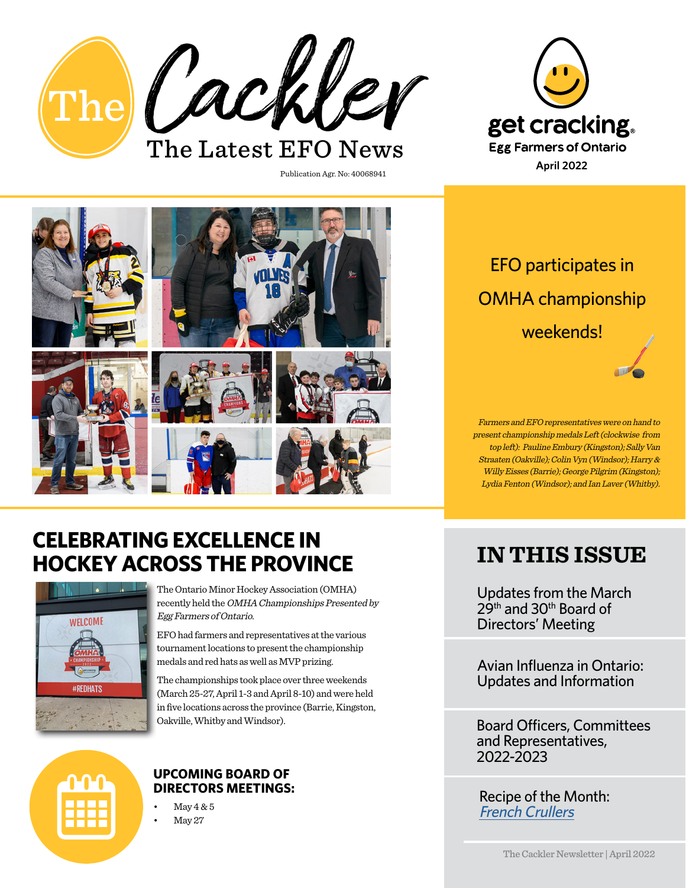

Publication Agr. No: 40068941



## **CELEBRATING EXCELLENCE IN HOCKEY ACROSS THE PROVINCE**



The Ontario Minor Hockey Association (OMHA) recently held the OMHA Championships Presented by Egg Farmers of Ontario.

EFO had farmers and representatives at the various tournament locations to present the championship medals and red hats as well as MVP prizing.

The championships took place over three weekends (March 25-27, April 1-3 and April 8-10) and were held in five locations across the province (Barrie, Kingston, Oakville, Whitby and Windsor).



#### **UPCOMING BOARD OF DIRECTORS MEETINGS:**

 $\text{Mav} 4 & 5$ May 27

## EFO participates in OMHA championship weekends!

Farmers and EFO representatives were on hand to present championship medals Left (clockwise from top left): Pauline Embury (Kingston); Sally Van Straaten (Oakville); Colin Vyn (Windsor); Harry & Willy Eisses (Barrie); George Pilgrim (Kingston); Lydia Fenton (Windsor); and Ian Laver (Whitby).

## **IN THIS ISSUE**

Updates from the March  $29<sup>th</sup>$  and 30<sup>th</sup> Board of Directors' Meeting

Avian Influenza in Ontario: Updates and Information

Board Officers, Committees and Representatives, 2022-2023

Recipe of the Month: [French Crullers](https://www.getcracking.ca/recipes/french-crullers)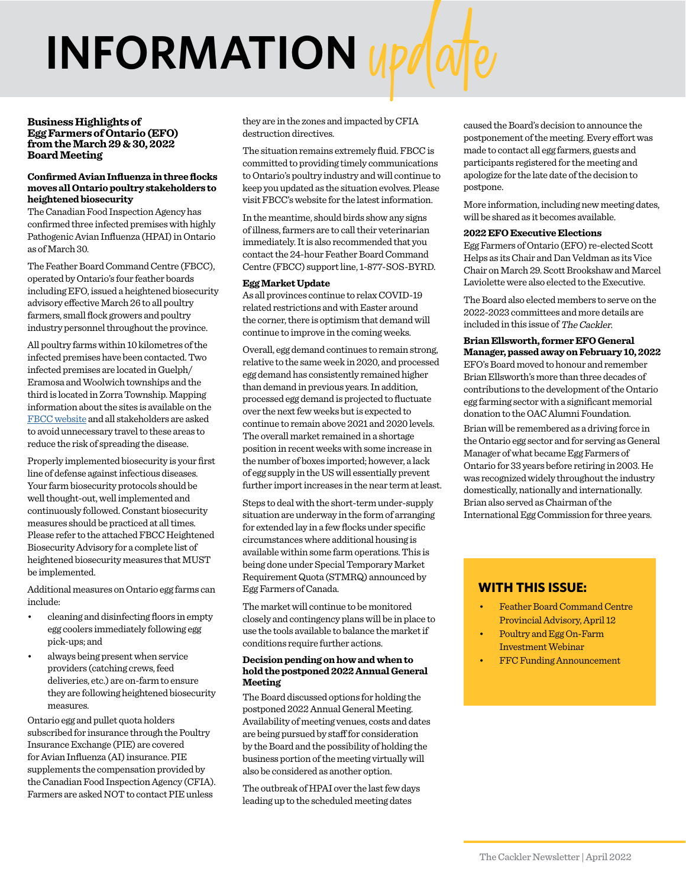# **INFORMATION** updat

#### **Business Highlights of Egg Farmers of Ontario (EFO) from the March 29 & 30, 2022 Board Meeting**

#### **Confirmed Avian Influenza in three flocks moves all Ontario poultry stakeholders to heightened biosecurity**

The Canadian Food Inspection Agency has confirmed three infected premises with highly Pathogenic Avian Influenza (HPAI) in Ontario as of March 30.

The Feather Board Command Centre (FBCC), operated by Ontario's four feather boards including EFO, issued a heightened biosecurity advisory effective March 26 to all poultry farmers, small flock growers and poultry industry personnel throughout the province.

All poultry farms within 10 kilometres of the infected premises have been contacted. Two infected premises are located in Guelph/ Eramosa and Woolwich townships and the third is located in Zorra Township. Mapping information about the sites is available on the [FBCC website](https://www.fbcc.ca/) and all stakeholders are asked to avoid unnecessary travel to these areas to reduce the risk of spreading the disease.

Properly implemented biosecurity is your first line of defense against infectious diseases. Your farm biosecurity protocols should be well thought-out, well implemented and continuously followed. Constant biosecurity measures should be practiced at all times. Please refer to the attached FBCC Heightened Biosecurity Advisory for a complete list of heightened biosecurity measures that MUST be implemented.

Additional measures on Ontario egg farms can include:

- cleaning and disinfecting floors in empty egg coolers immediately following egg pick-ups; and
- always being present when service providers (catching crews, feed deliveries, etc.) are on-farm to ensure they are following heightened biosecurity measures.

Ontario egg and pullet quota holders subscribed for insurance through the Poultry Insurance Exchange (PIE) are covered for Avian Influenza (AI) insurance. PIE supplements the compensation provided by the Canadian Food Inspection Agency (CFIA). Farmers are asked NOT to contact PIE unless

they are in the zones and impacted by CFIA destruction directives.

The situation remains extremely fluid. FBCC is committed to providing timely communications to Ontario's poultry industry and will continue to keep you updated as the situation evolves. Please visit FBCC's website for the latest information.

In the meantime, should birds show any signs of illness, farmers are to call their veterinarian immediately. It is also recommended that you contact the 24-hour Feather Board Command Centre (FBCC) support line, 1-877-SOS-BYRD.

#### **Egg Market Update**

As all provinces continue to relax COVID-19 related restrictions and with Easter around the corner, there is optimism that demand will continue to improve in the coming weeks.

Overall, egg demand continues to remain strong, relative to the same week in 2020, and processed egg demand has consistently remained higher than demand in previous years. In addition, processed egg demand is projected to fluctuate over the next few weeks but is expected to continue to remain above 2021 and 2020 levels. The overall market remained in a shortage position in recent weeks with some increase in the number of boxes imported; however, a lack of egg supply in the US will essentially prevent further import increases in the near term at least.

Steps to deal with the short-term under-supply situation are underway in the form of arranging for extended lay in a few flocks under specific circumstances where additional housing is available within some farm operations. This is being done under Special Temporary Market Requirement Quota (STMRQ) announced by Egg Farmers of Canada.

The market will continue to be monitored closely and contingency plans will be in place to use the tools available to balance the market if conditions require further actions.

#### **Decision pending on how and when to hold the postponed 2022 Annual General Meeting**

The Board discussed options for holding the postponed 2022 Annual General Meeting. Availability of meeting venues, costs and dates are being pursued by staff for consideration by the Board and the possibility of holding the business portion of the meeting virtually will also be considered as another option.

The outbreak of HPAI over the last few days leading up to the scheduled meeting dates

caused the Board's decision to announce the postponement of the meeting. Every effort was made to contact all egg farmers, guests and participants registered for the meeting and apologize for the late date of the decision to postpone.

More information, including new meeting dates, will be shared as it becomes available.

#### **2022 EFO Executive Elections**

Egg Farmers of Ontario (EFO) re-elected Scott Helps as its Chair and Dan Veldman as its Vice Chair on March 29. Scott Brookshaw and Marcel Laviolette were also elected to the Executive.

The Board also elected members to serve on the 2022-2023 committees and more details are included in this issue of The Cackler.

#### **Brian Ellsworth, former EFO General Manager, passed away on February 10, 2022**

EFO's Board moved to honour and remember Brian Ellsworth's more than three decades of contributions to the development of the Ontario egg farming sector with a significant memorial donation to the OAC Alumni Foundation.

Brian will be remembered as a driving force in the Ontario egg sector and for serving as General Manager of what became Egg Farmers of Ontario for 33 years before retiring in 2003. He was recognized widely throughout the industry domestically, nationally and internationally. Brian also served as Chairman of the International Egg Commission for three years.

#### **WITH THIS ISSUE:**

- Feather Board Command Centre Provincial Advisory, April 12
- Poultry and Egg On-Farm Investment Webinar
- FFC Funding Announcement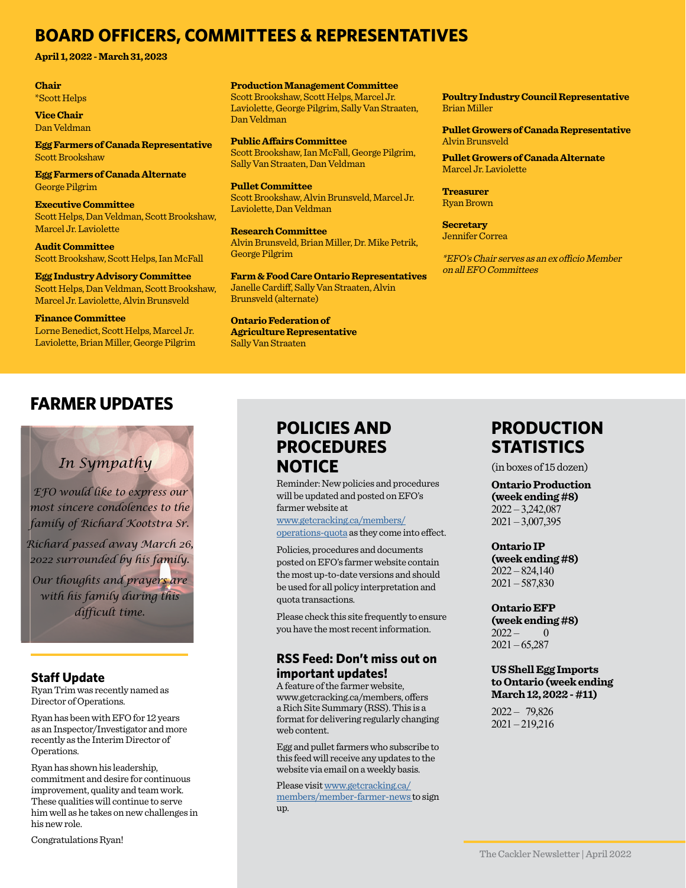## **BOARD OFFICERS, COMMITTEES & REPRESENTATIVES**

**April 1, 2022 - March 31, 2023**

#### **Chair** \*Scott Helps

**Vice Chair** Dan Veldman

**Egg Farmers of Canada Representative** Scott Brookshaw

**Egg Farmers of Canada Alternate** George Pilgrim

**Executive Committee** Scott Helps, Dan Veldman, Scott Brookshaw, Marcel Jr. Laviolette

**Audit Committee** Scott Brookshaw, Scott Helps, Ian McFall

**Egg Industry Advisory Committee** Scott Helps, Dan Veldman, Scott Brookshaw, Marcel Jr. Laviolette, Alvin Brunsveld

**Finance Committee** Lorne Benedict, Scott Helps, Marcel Jr. Laviolette, Brian Miller, George Pilgrim **Production Management Committee** Scott Brookshaw, Scott Helps, Marcel Jr. Laviolette, George Pilgrim, Sally Van Straaten, Dan Veldman

**Public Affairs Committee** Scott Brookshaw, Ian McFall, George Pilgrim, Sally Van Straaten, Dan Veldman

**Pullet Committee** Scott Brookshaw, Alvin Brunsveld, Marcel Jr. Laviolette, Dan Veldman

**Research Committee** Alvin Brunsveld, Brian Miller, Dr. Mike Petrik, George Pilgrim

**Farm & Food Care Ontario Representatives** Janelle Cardiff, Sally Van Straaten, Alvin Brunsveld (alternate)

**Ontario Federation of Agriculture Representative**

Sally Van Straaten

**Poultry Industry Council Representative** Brian Miller

**Pullet Growers of Canada Representative** Alvin Brunsveld

**Pullet Growers of Canada Alternate** Marcel Jr. Laviolette

**Treasurer** Ryan Brown

**Secretary** Jennifer Correa

\*EFO's Chair serves as an ex officio Member on all EFO Committees

## **FARMER UPDATES**

## *In Sympathy*

*EFO would like to express our most sincere condolences to the family of Richard Kootstra Sr.*

*Richard passed away March 26, 2022 surrounded by his family.*

*Our thoughts and prayers are with his family during this difficult time.*

#### **Staff Update**

Ryan Trim was recently named as Director of Operations.

Ryan has been with EFO for 12 years as an Inspector/Investigator and more recently as the Interim Director of Operations.

Ryan has shown his leadership, commitment and desire for continuous improvement, quality and team work. These qualities will continue to serve him well as he takes on new challenges in his new role.

Congratulations Ryan!

## **POLICIES AND PROCEDURES NOTICE**

Reminder: New policies and procedures will be updated and posted on EFO's farmer website at

www.getcracking.ca/members/ operations-quota as they come into effect.

Policies, procedures and documents posted on EFO's farmer website contain the most up-to-date versions and should be used for all policy interpretation and quota transactions.

Please check this site frequently to ensure you have the most recent information.

#### **RSS Feed: Don't miss out on important updates!**

A feature of the farmer website, www.getcracking.ca/members, offers a Rich Site Summary (RSS). This is a format for delivering regularly changing web content.

Egg and pullet farmers who subscribe to this feed will receive any updates to the website via email on a weekly basis.

Please visit [www.getcracking.ca/](http://www.getcracking.ca/members/
member-farmer-news ) [members/member-farmer-news](http://www.getcracking.ca/members/
member-farmer-news ) to sign up.

## **PRODUCTION STATISTICS**

(in boxes of 15 dozen)

**Ontario Production (week ending #8)** 2022 – 3,242,087  $2021 - 3,007,395$ 

**Ontario IP**

**(week ending #8)**  $2022 - 824,140$ 2021 – 587,830

**Ontario EFP (week ending #8)**  $2022 - 0$  $2021 - 65,287$ 

#### **US Shell Egg Imports to Ontario (week ending March 12, 2022 - #11)**

2022 – 79,826 2021 – 219,216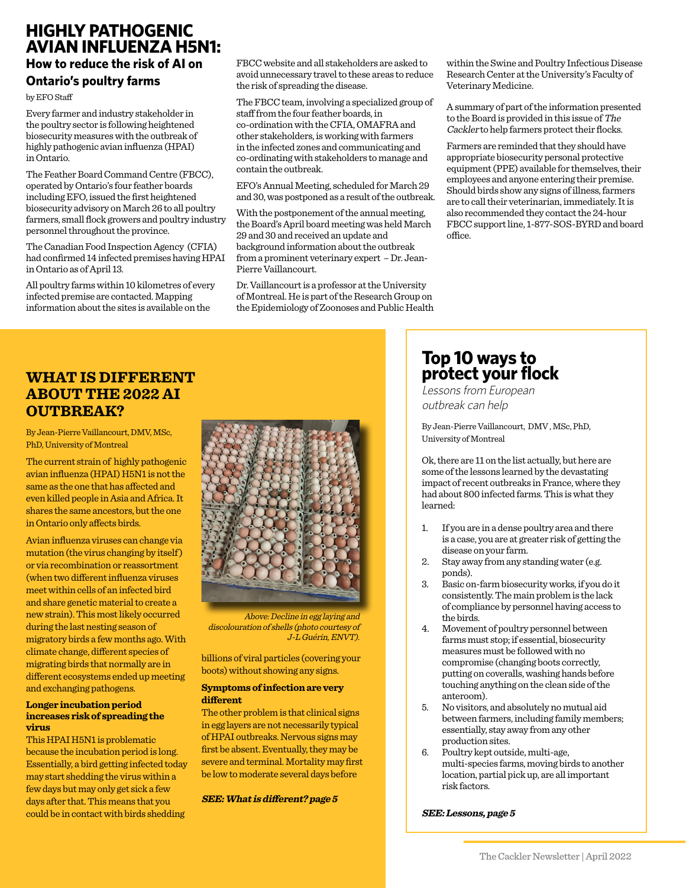## **HIGHLY PATHOGENIC AVIAN INFLUENZA H5N1:**

#### **How to reduce the risk of AI on Ontario's poultry farms**

by EFO Staff

Every farmer and industry stakeholder in the poultry sector is following heightened biosecurity measures with the outbreak of highly pathogenic avian influenza (HPAI) in Ontario.

The Feather Board Command Centre (FBCC), operated by Ontario's four feather boards including EFO, issued the first heightened biosecurity advisory on March 26 to all poultry farmers, small flock growers and poultry industry personnel throughout the province.

The Canadian Food Inspection Agency (CFIA) had confirmed 14 infected premises having HPAI in Ontario as of April 13.

All poultry farms within 10 kilometres of every infected premise are contacted. Mapping information about the sites is available on the

FBCC website and all stakeholders are asked to avoid unnecessary travel to these areas to reduce the risk of spreading the disease.

The FBCC team, involving a specialized group of staff from the four feather boards, in co-ordination with the CFIA, OMAFRA and other stakeholders, is working with farmers in the infected zones and communicating and co-ordinating with stakeholders to manage and contain the outbreak.

EFO's Annual Meeting, scheduled for March 29 and 30, was postponed as a result of the outbreak.

With the postponement of the annual meeting, the Board's April board meeting was held March 29 and 30 and received an update and background information about the outbreak from a prominent veterinary expert – Dr. Jean-Pierre Vaillancourt.

Dr. Vaillancourt is a professor at the University of Montreal. He is part of the Research Group on the Epidemiology of Zoonoses and Public Health

within the Swine and Poultry Infectious Disease Research Center at the University's Faculty of Veterinary Medicine.

A summary of part of the information presented to the Board is provided in this issue of The Cackler to help farmers protect their flocks.

Farmers are reminded that they should have appropriate biosecurity personal protective equipment (PPE) available for themselves, their employees and anyone entering their premise. Should birds show any signs of illness, farmers are to call their veterinarian, immediately. It is also recommended they contact the 24-hour FBCC support line, 1-877-SOS-BYRD and board office.

### **WHAT IS DIFFERENT ABOUT THE 2022 AI OUTBREAK?**

By Jean-Pierre Vaillancourt, DMV, MSc, PhD, University of Montreal

The current strain of highly pathogenic avian influenza (HPAI) H5N1 is not the same as the one that has affected and even killed people in Asia and Africa. It shares the same ancestors, but the one in Ontario only affects birds.

Avian influenza viruses can change via mutation (the virus changing by itself ) or via recombination or reassortment (when two different influenza viruses meet within cells of an infected bird and share genetic material to create a new strain). This most likely occurred during the last nesting season of migratory birds a few months ago. With climate change, different species of migrating birds that normally are in different ecosystems ended up meeting and exchanging pathogens.

#### **Longer incubation period increases risk of spreading the virus**

This HPAI H5N1 is problematic because the incubation period is long. Essentially, a bird getting infected today may start shedding the virus within a few days but may only get sick a few days after that. This means that you could be in contact with birds shedding



Above: Decline in egg laying and discolouration of shells (photo courtesy of J-L Guérin, ENVT).

billions of viral particles (covering your boots) without showing any signs.

#### **Symptoms of infection are very different**

The other problem is that clinical signs in egg layers are not necessarily typical of HPAI outbreaks. Nervous signs may first be absent. Eventually, they may be severe and terminal. Mortality may first be low to moderate several days before

#### **SEE: What is different? page 5**

## **Top 10 ways to protect your flock**

Lessons from European outbreak can help

By Jean-Pierre Vaillancourt, DMV , MSc, PhD, University of Montreal

Ok, there are 11 on the list actually, but here are some of the lessons learned by the devastating impact of recent outbreaks in France, where they had about 800 infected farms. This is what they learned:

- 1. If you are in a dense poultry area and there is a case, you are at greater risk of getting the disease on your farm.
- 2. Stay away from any standing water (e.g. ponds).
- 3. Basic on-farm biosecurity works, if you do it consistently. The main problem is the lack of compliance by personnel having access to the birds.
- 4. Movement of poultry personnel between farms must stop; if essential, biosecurity measures must be followed with no compromise (changing boots correctly, putting on coveralls, washing hands before touching anything on the clean side of the anteroom).
- 5. No visitors, and absolutely no mutual aid between farmers, including family members; essentially, stay away from any other production sites.
- 6. Poultry kept outside, multi-age, multi-species farms, moving birds to another location, partial pick up, are all important risk factors.

**SEE: Lessons, page 5**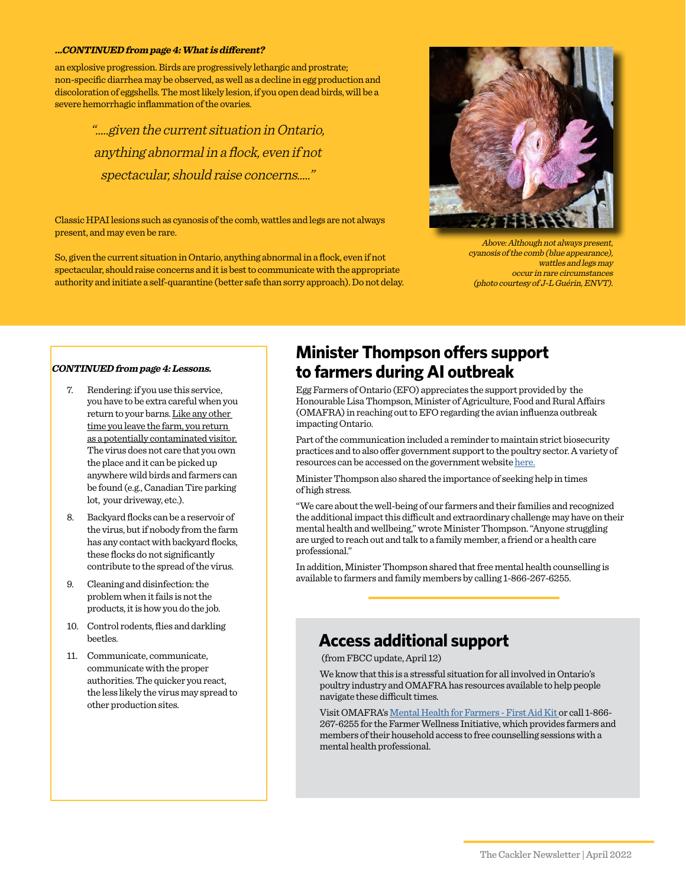#### **...CONTINUED from page 4: What is different?**

an explosive progression. Birds are progressively lethargic and prostrate; non-specific diarrhea may be observed, as well as a decline in egg production and discoloration of eggshells. The most likely lesion, if you open dead birds, will be a severe hemorrhagic inflammation of the ovaries.

> ".....given the current situation in Ontario, anything abnormal in a flock, even if not spectacular, should raise concerns....."

Classic HPAI lesions such as cyanosis of the comb, wattles and legs are not always present, and may even be rare.

So, given the current situation in Ontario, anything abnormal in a flock, even if not spectacular, should raise concerns and it is best to communicate with the appropriate authority and initiate a self-quarantine (better safe than sorry approach). Do not delay.



Above: Although not always present, cyanosis of the comb (blue appearance), wattles and legs may occur in rare circumstances (photo courtesy of J-L Guérin, ENVT).

#### **CONTINUED from page 4: Lessons.**

- 7. Rendering: if you use this service, you have to be extra careful when you return to your barns. Like any other time you leave the farm, you return as a potentially contaminated visitor. The virus does not care that you own the place and it can be picked up anywhere wild birds and farmers can be found (e.g., Canadian Tire parking lot, your driveway, etc.).
- 8. Backyard flocks can be a reservoir of the virus, but if nobody from the farm has any contact with backyard flocks, these flocks do not significantly contribute to the spread of the virus.
- 9. Cleaning and disinfection: the problem when it fails is not the products, it is how you do the job.
- 10. Control rodents, flies and darkling beetles.
- 11. Communicate, communicate, communicate with the proper authorities. The quicker you react, the less likely the virus may spread to other production sites.

## **Minister Thompson offers support to farmers during AI outbreak**

Egg Farmers of Ontario (EFO) appreciates the support provided by the Honourable Lisa Thompson, Minister of Agriculture, Food and Rural Affairs (OMAFRA) in reaching out to EFO regarding the avian influenza outbreak impacting Ontario.

Part of the communication included a reminder to maintain strict biosecurity practices and to also offer government support to the poultry sector. A variety of resources can be accessed on the government website [here.](http://www.omafra.gov.on.ca/english/livestock/vet/facts/avian_influenza.htm)

Minister Thompson also shared the importance of seeking help in times of high stress.

"We care about the well-being of our farmers and their families and recognized the additional impact this difficult and extraordinary challenge may have on their mental health and wellbeing," wrote Minister Thompson. "Anyone struggling are urged to reach out and talk to a family member, a friend or a health care professional."

In addition, Minister Thompson shared that free mental health counselling is available to farmers and family members by calling 1-866-267-6255.

## **Access additional support**

(from FBCC update, April 12)

We know that this is a stressful situation for all involved in Ontario's poultry industry and OMAFRA has resources available to help people navigate these difficult times.

Visit OMAFRA's [Mental Health for Farmers - First Aid Kit o](https://www.ontario.ca/page/mental-health-resources-for-farmers)r call 1-866- 267-6255 for the Farmer Wellness Initiative, which provides farmers and members of their household access to free counselling sessions with a mental health professional.